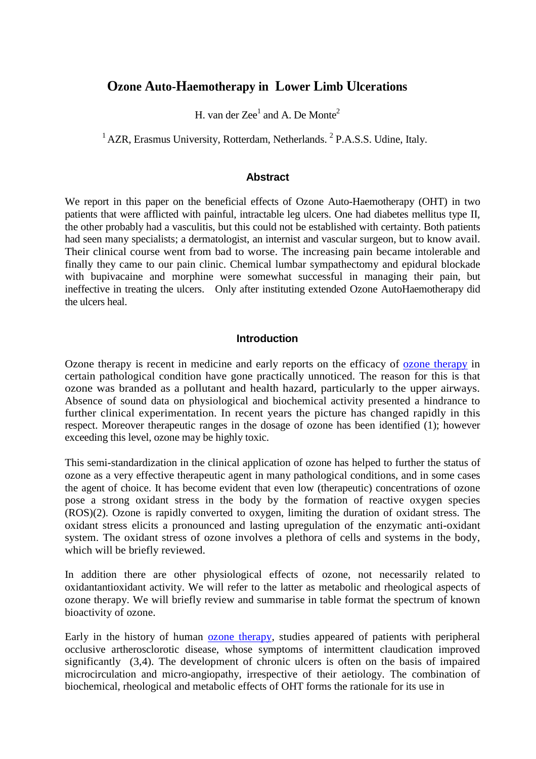# **Ozone Auto-Haemotherapy in Lower Limb Ulcerations**

H. van der  $Zee<sup>1</sup>$  and A. De Monte<sup>2</sup>

 $1$ AZR, Erasmus University, Rotterdam, Netherlands.  $2$  P.A.S.S. Udine, Italy.

#### **Abstract**

We report in this paper on the beneficial effects of Ozone Auto-Haemotherapy (OHT) in two patients that were afflicted with painful, intractable leg ulcers. One had diabetes mellitus type II, the other probably had a vasculitis, but this could not be established with certainty. Both patients had seen many specialists; a dermatologist, an internist and vascular surgeon, but to know avail. Their clinical course went from bad to worse. The increasing pain became intolerable and finally they came to our pain clinic. Chemical lumbar sympathectomy and epidural blockade with bupivacaine and morphine were somewhat successful in managing their pain, but ineffective in treating the ulcers. Only after instituting extended Ozone AutoHaemotherapy did the ulcers heal.

#### **Introduction**

Ozone therapy is recent in medicine and early reports on the efficacy of [ozone therapy](http://www.austinozone.com/) in certain pathological condition have gone practically unnoticed. The reason for this is that ozone was branded as a pollutant and health hazard, particularly to the upper airways. Absence of sound data on physiological and biochemical activity presented a hindrance to further clinical experimentation. In recent years the picture has changed rapidly in this respect. Moreover therapeutic ranges in the dosage of ozone has been identified (1); however exceeding this level, ozone may be highly toxic.

This semi-standardization in the clinical application of ozone has helped to further the status of ozone as a very effective therapeutic agent in many pathological conditions, and in some cases the agent of choice. It has become evident that even low (therapeutic) concentrations of ozone pose a strong oxidant stress in the body by the formation of reactive oxygen species (ROS)(2). Ozone is rapidly converted to oxygen, limiting the duration of oxidant stress. The oxidant stress elicits a pronounced and lasting upregulation of the enzymatic anti-oxidant system. The oxidant stress of ozone involves a plethora of cells and systems in the body, which will be briefly reviewed.

In addition there are other physiological effects of ozone, not necessarily related to oxidantantioxidant activity. We will refer to the latter as metabolic and rheological aspects of ozone therapy. We will briefly review and summarise in table format the spectrum of known bioactivity of ozone.

Early in the history of human [ozone therapy,](http://www.ozonemachine.org/) studies appeared of patients with peripheral occlusive artherosclorotic disease, whose symptoms of intermittent claudication improved significantly (3,4). The development of chronic ulcers is often on the basis of impaired microcirculation and micro-angiopathy, irrespective of their aetiology. The combination of biochemical, rheological and metabolic effects of OHT forms the rationale for its use in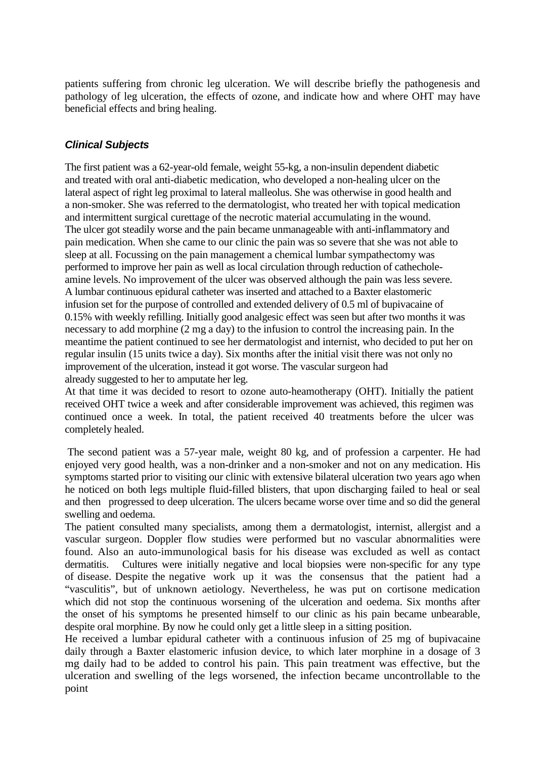patients suffering from chronic leg ulceration. We will describe briefly the pathogenesis and pathology of leg ulceration, the effects of ozone, and indicate how and where OHT may have beneficial effects and bring healing.

# *Clinical Subjects*

The first patient was a 62-year-old female, weight 55-kg, a non-insulin dependent diabetic and treated with oral anti-diabetic medication, who developed a non-healing ulcer on the lateral aspect of right leg proximal to lateral malleolus. She was otherwise in good health and a non-smoker. She was referred to the dermatologist, who treated her with topical medication and intermittent surgical curettage of the necrotic material accumulating in the wound. The ulcer got steadily worse and the pain became unmanageable with anti-inflammatory and pain medication. When she came to our clinic the pain was so severe that she was not able to sleep at all. Focussing on the pain management a chemical lumbar sympathectomy was performed to improve her pain as well as local circulation through reduction of cathecholeamine levels. No improvement of the ulcer was observed although the pain was less severe. A lumbar continuous epidural catheter was inserted and attached to a Baxter elastomeric infusion set for the purpose of controlled and extended delivery of 0.5 ml of bupivacaine of 0.15% with weekly refilling. Initially good analgesic effect was seen but after two months it was necessary to add morphine (2 mg a day) to the infusion to control the increasing pain. In the meantime the patient continued to see her dermatologist and internist, who decided to put her on regular insulin (15 units twice a day). Six months after the initial visit there was not only no improvement of the ulceration, instead it got worse. The vascular surgeon had already suggested to her to amputate her leg.

At that time it was decided to resort to ozone auto-heamotherapy (OHT). Initially the patient received OHT twice a week and after considerable improvement was achieved, this regimen was continued once a week. In total, the patient received 40 treatments before the ulcer was completely healed.

The second patient was a 57-year male, weight 80 kg, and of profession a carpenter. He had enjoyed very good health, was a non-drinker and a non-smoker and not on any medication. His symptoms started prior to visiting our clinic with extensive bilateral ulceration two years ago when he noticed on both legs multiple fluid-filled blisters, that upon discharging failed to heal or seal and then progressed to deep ulceration. The ulcers became worse over time and so did the general swelling and oedema.

The patient consulted many specialists, among them a dermatologist, internist, allergist and a vascular surgeon. Doppler flow studies were performed but no vascular abnormalities were found. Also an auto-immunological basis for his disease was excluded as well as contact dermatitis. Cultures were initially negative and local biopsies were non-specific for any type of disease. Despite the negative work up it was the consensus that the patient had a "vasculitis", but of unknown aetiology. Nevertheless, he was put on cortisone medication which did not stop the continuous worsening of the ulceration and oedema. Six months after the onset of his symptoms he presented himself to our clinic as his pain became unbearable, despite oral morphine. By now he could only get a little sleep in a sitting position.

He received a lumbar epidural catheter with a continuous infusion of 25 mg of bupivacaine daily through a Baxter elastomeric infusion device, to which later morphine in a dosage of 3 mg daily had to be added to control his pain. This pain treatment was effective, but the ulceration and swelling of the legs worsened, the infection became uncontrollable to the point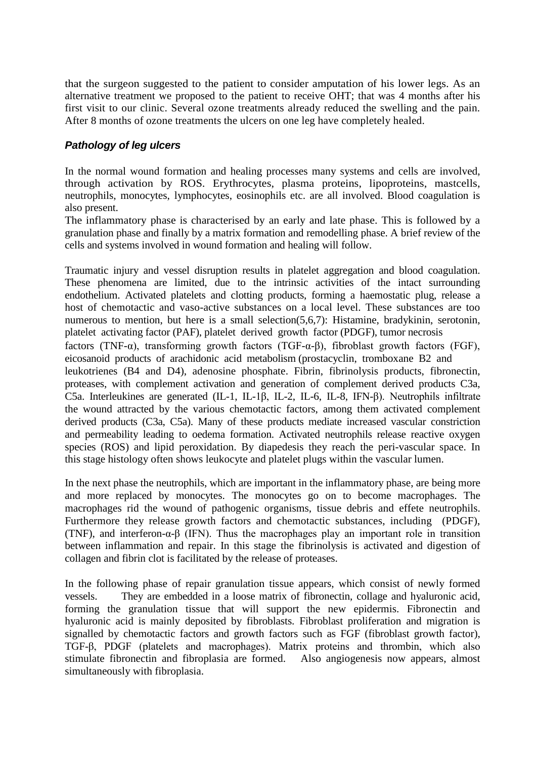that the surgeon suggested to the patient to consider amputation of his lower legs. As an alternative treatment we proposed to the patient to receive OHT; that was 4 months after his first visit to our clinic. Several ozone treatments already reduced the swelling and the pain. After 8 months of ozone treatments the ulcers on one leg have completely healed.

# *Pathology of leg ulcers*

In the normal wound formation and healing processes many systems and cells are involved, through activation by ROS. Erythrocytes, plasma proteins, lipoproteins, mastcells, neutrophils, monocytes, lymphocytes, eosinophils etc. are all involved. Blood coagulation is also present.

The inflammatory phase is characterised by an early and late phase. This is followed by a granulation phase and finally by a matrix formation and remodelling phase. A brief review of the cells and systems involved in wound formation and healing will follow.

Traumatic injury and vessel disruption results in platelet aggregation and blood coagulation. These phenomena are limited, due to the intrinsic activities of the intact surrounding endothelium. Activated platelets and clotting products, forming a haemostatic plug, release a host of chemotactic and vaso-active substances on a local level. These substances are too numerous to mention, but here is a small selection(5,6,7): Histamine, bradykinin, serotonin, platelet activating factor (PAF), platelet derived growth factor (PDGF), tumor necrosis factors (TNF- $\alpha$ ), transforming growth factors (TGF- $\alpha$ - $\beta$ ), fibroblast growth factors (FGF), eicosanoid products of arachidonic acid metabolism (prostacyclin, tromboxane B2 and leukotrienes (B4 and D4), adenosine phosphate. Fibrin, fibrinolysis products, fibronectin, proteases, with complement activation and generation of complement derived products C3a, C5a. Interleukines are generated (IL-1, IL-1β, IL-2, IL-6, IL-8, IFN-β). Neutrophils infiltrate the wound attracted by the various chemotactic factors, among them activated complement derived products (C3a, C5a). Many of these products mediate increased vascular constriction and permeability leading to oedema formation. Activated neutrophils release reactive oxygen species (ROS) and lipid peroxidation. By diapedesis they reach the peri-vascular space. In this stage histology often shows leukocyte and platelet plugs within the vascular lumen.

In the next phase the neutrophils, which are important in the inflammatory phase, are being more and more replaced by monocytes. The monocytes go on to become macrophages. The macrophages rid the wound of pathogenic organisms, tissue debris and effete neutrophils. Furthermore they release growth factors and chemotactic substances, including (PDGF), (TNF), and interferon-α-β (IFN). Thus the macrophages play an important role in transition between inflammation and repair. In this stage the fibrinolysis is activated and digestion of collagen and fibrin clot is facilitated by the release of proteases.

In the following phase of repair granulation tissue appears, which consist of newly formed vessels. They are embedded in a loose matrix of fibronectin, collage and hyaluronic acid, forming the granulation tissue that will support the new epidermis. Fibronectin and hyaluronic acid is mainly deposited by fibroblasts. Fibroblast proliferation and migration is signalled by chemotactic factors and growth factors such as FGF (fibroblast growth factor), TGF-β, PDGF (platelets and macrophages). Matrix proteins and thrombin, which also stimulate fibronectin and fibroplasia are formed. Also angiogenesis now appears, almost simultaneously with fibroplasia.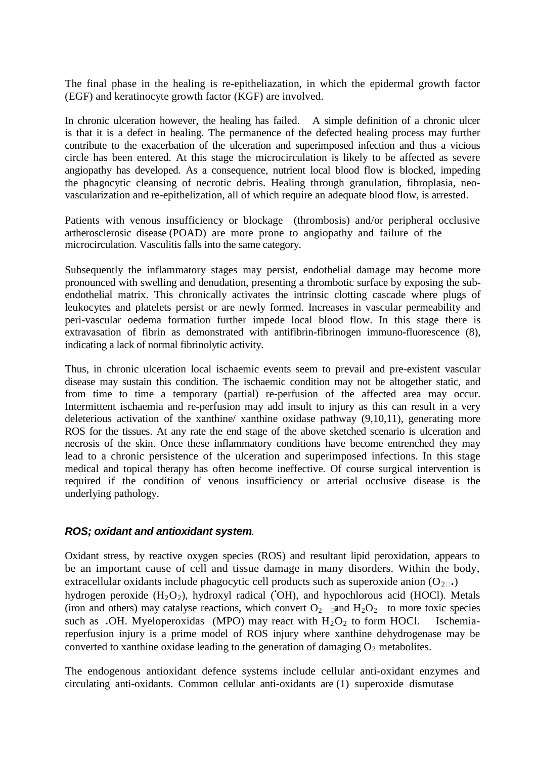The final phase in the healing is re-epitheliazation, in which the epidermal growth factor (EGF) and keratinocyte growth factor (KGF) are involved.

In chronic ulceration however, the healing has failed. A simple definition of a chronic ulcer is that it is a defect in healing. The permanence of the defected healing process may further contribute to the exacerbation of the ulceration and superimposed infection and thus a vicious circle has been entered. At this stage the microcirculation is likely to be affected as severe angiopathy has developed. As a consequence, nutrient local blood flow is blocked, impeding the phagocytic cleansing of necrotic debris. Healing through granulation, fibroplasia, neovascularization and re-epithelization, all of which require an adequate blood flow, is arrested.

Patients with venous insufficiency or blockage (thrombosis) and/or peripheral occlusive artherosclerosic disease (POAD) are more prone to angiopathy and failure of the microcirculation. Vasculitis falls into the same category.

Subsequently the inflammatory stages may persist, endothelial damage may become more pronounced with swelling and denudation, presenting a thrombotic surface by exposing the subendothelial matrix. This chronically activates the intrinsic clotting cascade where plugs of leukocytes and platelets persist or are newly formed. Increases in vascular permeability and peri-vascular oedema formation further impede local blood flow. In this stage there is extravasation of fibrin as demonstrated with antifibrin-fibrinogen immuno-fluorescence (8), indicating a lack of normal fibrinolytic activity.

Thus, in chronic ulceration local ischaemic events seem to prevail and pre-existent vascular disease may sustain this condition. The ischaemic condition may not be altogether static, and from time to time a temporary (partial) re-perfusion of the affected area may occur. Intermittent ischaemia and re-perfusion may add insult to injury as this can result in a very deleterious activation of the xanthine/ xanthine oxidase pathway (9,10,11), generating more ROS for the tissues. At any rate the end stage of the above sketched scenario is ulceration and necrosis of the skin. Once these inflammatory conditions have become entrenched they may lead to a chronic persistence of the ulceration and superimposed infections. In this stage medical and topical therapy has often become ineffective. Of course surgical intervention is required if the condition of venous insufficiency or arterial occlusive disease is the underlying pathology.

#### *ROS; oxidant and antioxidant system.*

Oxidant stress, by reactive oxygen species (ROS) and resultant lipid peroxidation, appears to be an important cause of cell and tissue damage in many disorders. Within the body, extracellular oxidants include phagocytic cell products such as superoxide anion  $(O_{2\sqcap})$ hydrogen peroxide  $(H_2O_2)$ , hydroxyl radical ('OH), and hypochlorous acid (HOCl). Metals (iron and others) may catalyse reactions, which convert  $O_2$   $\Box$  and  $H_2O_2$  to more toxic species such as •OH. Myeloperoxidas (MPO) may react with  $H_2O_2$  to form HOCl. Ischemiareperfusion injury is a prime model of ROS injury where xanthine dehydrogenase may be converted to xanthine oxidase leading to the generation of damaging  $O_2$  metabolites.

The endogenous antioxidant defence systems include cellular anti-oxidant enzymes and circulating anti-oxidants. Common cellular anti-oxidants are (1) superoxide dismutase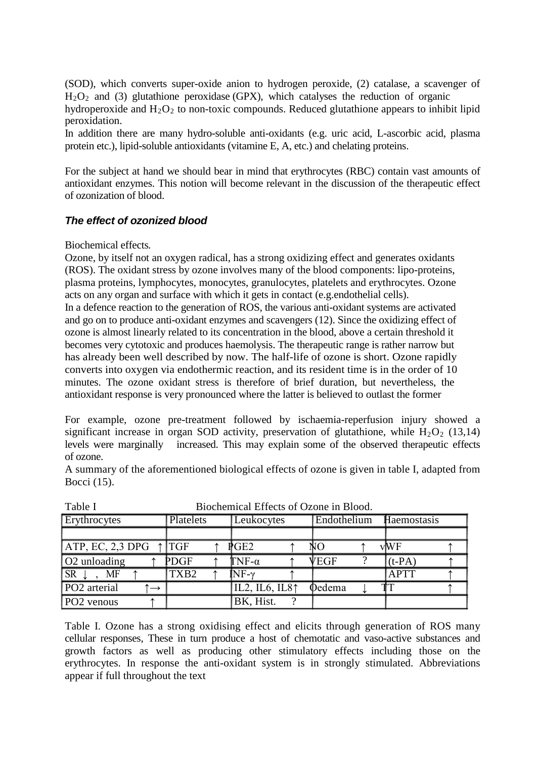(SOD), which converts super-oxide anion to hydrogen peroxide, (2) catalase, a scavenger of  $H<sub>2</sub>O<sub>2</sub>$  and (3) glutathione peroxidase (GPX), which catalyses the reduction of organic hydroperoxide and  $H_2O_2$  to non-toxic compounds. Reduced glutathione appears to inhibit lipid peroxidation.

In addition there are many hydro-soluble anti-oxidants (e.g. uric acid, L-ascorbic acid, plasma protein etc.), lipid-soluble antioxidants (vitamine E, A, etc.) and chelating proteins.

For the subject at hand we should bear in mind that erythrocytes (RBC) contain vast amounts of antioxidant enzymes. This notion will become relevant in the discussion of the therapeutic effect of ozonization of blood.

# *The effect of ozonized blood*

Biochemical effects*.* 

Ozone, by itself not an oxygen radical, has a strong oxidizing effect and generates oxidants (ROS). The oxidant stress by ozone involves many of the blood components: lipo-proteins, plasma proteins, lymphocytes, monocytes, granulocytes, platelets and erythrocytes. Ozone acts on any organ and surface with which it gets in contact (e.g.endothelial cells).

In a defence reaction to the generation of ROS, the various anti-oxidant systems are activated and go on to produce anti-oxidant enzymes and scavengers (12). Since the oxidizing effect of ozone is almost linearly related to its concentration in the blood, above a certain threshold it becomes very cytotoxic and produces haemolysis. The therapeutic range is rather narrow but has already been well described by now. The half-life of ozone is short. Ozone rapidly converts into oxygen via endothermic reaction, and its resident time is in the order of 10 minutes. The ozone oxidant stress is therefore of brief duration, but nevertheless, the antioxidant response is very pronounced where the latter is believed to outlast the former

For example, ozone pre-treatment followed by ischaemia-reperfusion injury showed a significant increase in organ SOD activity, preservation of glutathione, while  $H_2O_2$  (13,14) levels were marginally increased. This may explain some of the observed therapeutic effects increased. This may explain some of the observed therapeutic effects of ozone.

A summary of the aforementioned biological effects of ozone is given in table I, adapted from Bocci (15).

| 21001101111001 211000 01 020110 111 21000 1 |                  |                            |                |             |  |  |  |
|---------------------------------------------|------------------|----------------------------|----------------|-------------|--|--|--|
| Erythrocytes                                | <b>Platelets</b> | <b>Leukocytes</b>          | Endothelium    | Haemostasis |  |  |  |
|                                             |                  |                            |                |             |  |  |  |
| $ATP, EC, 2,3 DPG \uparrow TGF$             |                  | PGE2                       | NС             | vWF         |  |  |  |
| O <sub>2</sub> unloading                    | PDGF             | ${\rm TNF}\text{-}\alpha$  | VEGF           | $(t-PA)$    |  |  |  |
| SR <sub>l</sub><br>MF                       | TXB <sub>2</sub> | $\overline{\text{NF-}\nu}$ |                | <b>APTT</b> |  |  |  |
| PO <sub>2</sub> arterial                    |                  | IL2, IL6, IL8 $\uparrow$   | <b>O</b> edema | TT          |  |  |  |
| PO <sub>2</sub> venous                      |                  | BK, Hist.                  |                |             |  |  |  |

Table I Biochemical Effects of Ozone in Blood.

Table I. Ozone has a strong oxidising effect and elicits through generation of ROS many cellular responses, These in turn produce a host of chemotatic and vaso-active substances and growth factors as well as producing other stimulatory effects including those on the erythrocytes. In response the anti-oxidant system is in strongly stimulated. Abbreviations appear if full throughout the text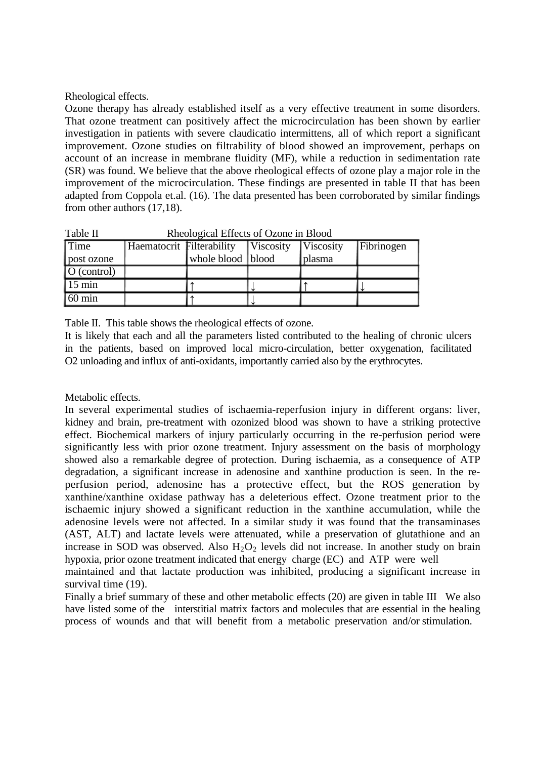#### Rheological effects.

Ozone therapy has already established itself as a very effective treatment in some disorders. That ozone treatment can positively affect the microcirculation has been shown by earlier investigation in patients with severe claudicatio intermittens, all of which report a significant improvement. Ozone studies on filtrability of blood showed an improvement, perhaps on account of an increase in membrane fluidity (MF), while a reduction in sedimentation rate (SR) was found. We believe that the above rheological effects of ozone play a major role in the improvement of the microcirculation. These findings are presented in table II that has been adapted from Coppola et.al. (16). The data presented has been corroborated by similar findings from other authors (17,18).

| таріе п                 | RHEOIOGICAL ELIECTS OF UZONE IN BIOOD |                   |  |                           |            |  |
|-------------------------|---------------------------------------|-------------------|--|---------------------------|------------|--|
| <b>Time</b>             | Haematocrit Filterability   Viscosity |                   |  | $\sqrt{\text{Viscosity}}$ | Fibrinogen |  |
| post ozone              |                                       | whole blood blood |  | plasma                    |            |  |
| $\overline{O(control)}$ |                                       |                   |  |                           |            |  |
| $15 \text{ min}$        |                                       |                   |  |                           |            |  |
| $60 \text{ min}$        |                                       |                   |  |                           |            |  |

Table II Rheological Effects of Ozone in Blood

Table II. This table shows the rheological effects of ozone.

It is likely that each and all the parameters listed contributed to the healing of chronic ulcers in the patients, based on improved local micro-circulation, better oxygenation, facilitated O2 unloading and influx of anti-oxidants, importantly carried also by the erythrocytes.

#### Metabolic effects.

In several experimental studies of ischaemia-reperfusion injury in different organs: liver, kidney and brain, pre-treatment with ozonized blood was shown to have a striking protective effect. Biochemical markers of injury particularly occurring in the re-perfusion period were significantly less with prior ozone treatment. Injury assessment on the basis of morphology showed also a remarkable degree of protection. During ischaemia, as a consequence of ATP degradation, a significant increase in adenosine and xanthine production is seen. In the reperfusion period, adenosine has a protective effect, but the ROS generation by xanthine/xanthine oxidase pathway has a deleterious effect. Ozone treatment prior to the ischaemic injury showed a significant reduction in the xanthine accumulation, while the adenosine levels were not affected. In a similar study it was found that the transaminases (AST, ALT) and lactate levels were attenuated, while a preservation of glutathione and an increase in SOD was observed. Also  $H_2O_2$  levels did not increase. In another study on brain hypoxia, prior ozone treatment indicated that energy charge (EC) and ATP were well

maintained and that lactate production was inhibited, producing a significant increase in survival time (19).

Finally a brief summary of these and other metabolic effects (20) are given in table III We also have listed some of the interstitial matrix factors and molecules that are essential in the healing process of wounds and that will benefit from a metabolic preservation and/or stimulation.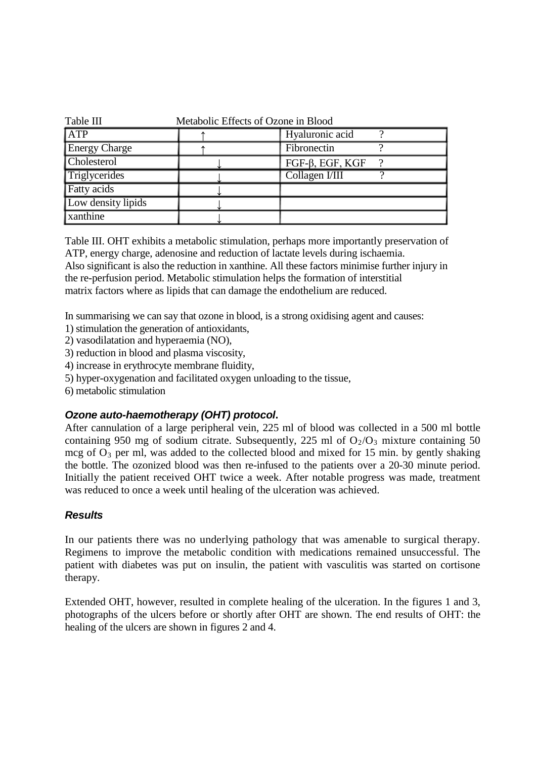| Table III<br>Metabolic Effects of Ozone in Blood |  |                        |  |  |  |  |
|--------------------------------------------------|--|------------------------|--|--|--|--|
| <b>ATP</b>                                       |  | Hyaluronic acid        |  |  |  |  |
| <b>Energy Charge</b>                             |  | Fibronectin            |  |  |  |  |
| <b>Cholesterol</b>                               |  | $FGF-\beta$ , EGF, KGF |  |  |  |  |
| Triglycerides                                    |  | Collagen I/III         |  |  |  |  |
| <b>Fatty</b> acids                               |  |                        |  |  |  |  |
| Low density lipids                               |  |                        |  |  |  |  |
| <b>xanthine</b>                                  |  |                        |  |  |  |  |

Table III. OHT exhibits a metabolic stimulation, perhaps more importantly preservation of ATP, energy charge, adenosine and reduction of lactate levels during ischaemia.

Also significant is also the reduction in xanthine. All these factors minimise further injury in the re-perfusion period. Metabolic stimulation helps the formation of interstitial matrix factors where as lipids that can damage the endothelium are reduced.

In summarising we can say that ozone in blood, is a strong oxidising agent and causes:

- 1) stimulation the generation of antioxidants,
- 2) vasodilatation and hyperaemia (NO),
- 3) reduction in blood and plasma viscosity,
- 4) increase in erythrocyte membrane fluidity,
- 5) hyper-oxygenation and facilitated oxygen unloading to the tissue,
- 6) metabolic stimulation

## *Ozone auto-haemotherapy (OHT) protocol***.**

After cannulation of a large peripheral vein, 225 ml of blood was collected in a 500 ml bottle containing 950 mg of sodium citrate. Subsequently, 225 ml of  $O_2/O_3$  mixture containing 50 mcg of  $O_3$  per ml, was added to the collected blood and mixed for 15 min. by gently shaking the bottle. The ozonized blood was then re-infused to the patients over a 20-30 minute period. Initially the patient received OHT twice a week. After notable progress was made, treatment was reduced to once a week until healing of the ulceration was achieved.

## *Results*

In our patients there was no underlying pathology that was amenable to surgical therapy. Regimens to improve the metabolic condition with medications remained unsuccessful. The patient with diabetes was put on insulin, the patient with vasculitis was started on cortisone therapy.

Extended OHT, however, resulted in complete healing of the ulceration. In the figures 1 and 3, photographs of the ulcers before or shortly after OHT are shown. The end results of OHT: the healing of the ulcers are shown in figures 2 and 4.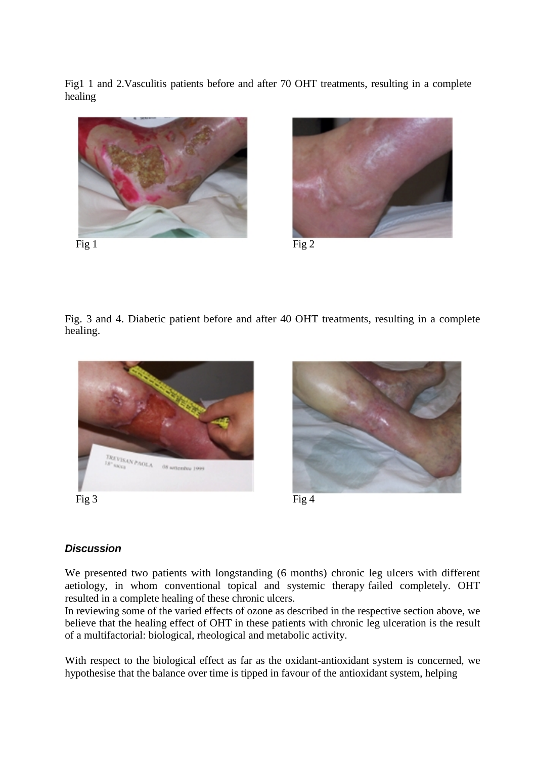Fig1 1 and 2.Vasculitis patients before and after 70 OHT treatments, resulting in a complete healing



Fig 1 Fig 2



Fig. 3 and 4. Diabetic patient before and after 40 OHT treatments, resulting in a complete healing.



Fig 3 Fig 4



# *Discussion*

We presented two patients with longstanding (6 months) chronic leg ulcers with different aetiology, in whom conventional topical and systemic therapy failed completely. OHT resulted in a complete healing of these chronic ulcers.

In reviewing some of the varied effects of ozone as described in the respective section above, we believe that the healing effect of OHT in these patients with chronic leg ulceration is the result of a multifactorial: biological, rheological and metabolic activity.

With respect to the biological effect as far as the oxidant-antioxidant system is concerned, we hypothesise that the balance over time is tipped in favour of the antioxidant system, helping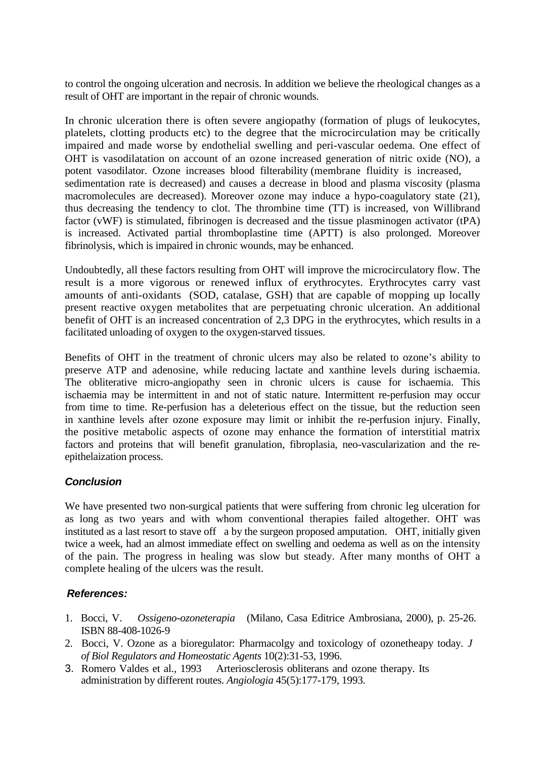to control the ongoing ulceration and necrosis. In addition we believe the rheological changes as a result of OHT are important in the repair of chronic wounds.

In chronic ulceration there is often severe angiopathy (formation of plugs of leukocytes, platelets, clotting products etc) to the degree that the microcirculation may be critically impaired and made worse by endothelial swelling and peri-vascular oedema. One effect of OHT is vasodilatation on account of an ozone increased generation of nitric oxide (NO), a potent vasodilator. Ozone increases blood filterability (membrane fluidity is increased, sedimentation rate is decreased) and causes a decrease in blood and plasma viscosity (plasma macromolecules are decreased). Moreover ozone may induce a hypo-coagulatory state (21), thus decreasing the tendency to clot. The thrombine time (TT) is increased, von Willibrand factor (vWF) is stimulated, fibrinogen is decreased and the tissue plasminogen activator (tPA) is increased. Activated partial thromboplastine time (APTT) is also prolonged. Moreover fibrinolysis, which is impaired in chronic wounds, may be enhanced.

Undoubtedly, all these factors resulting from OHT will improve the microcirculatory flow. The result is a more vigorous or renewed influx of erythrocytes. Erythrocytes carry vast amounts of anti-oxidants (SOD, catalase, GSH) that are capable of mopping up locally present reactive oxygen metabolites that are perpetuating chronic ulceration. An additional benefit of OHT is an increased concentration of 2,3 DPG in the erythrocytes, which results in a facilitated unloading of oxygen to the oxygen-starved tissues.

Benefits of OHT in the treatment of chronic ulcers may also be related to ozone's ability to preserve ATP and adenosine, while reducing lactate and xanthine levels during ischaemia. The obliterative micro-angiopathy seen in chronic ulcers is cause for ischaemia. This ischaemia may be intermittent in and not of static nature. Intermittent re-perfusion may occur from time to time. Re-perfusion has a deleterious effect on the tissue, but the reduction seen in xanthine levels after ozone exposure may limit or inhibit the re-perfusion injury. Finally, the positive metabolic aspects of ozone may enhance the formation of interstitial matrix factors and proteins that will benefit granulation, fibroplasia, neo-vascularization and the reepithelaization process.

## *Conclusion*

We have presented two non-surgical patients that were suffering from chronic leg ulceration for as long as two years and with whom conventional therapies failed altogether. OHT was instituted as a last resort to stave off a by the surgeon proposed amputation. OHT, initially given twice a week, had an almost immediate effect on swelling and oedema as well as on the intensity of the pain. The progress in healing was slow but steady. After many months of OHT a complete healing of the ulcers was the result.

## *References:*

- 1. Bocci, V. *Ossigeno-ozoneterapia* (Milano, Casa Editrice Ambrosiana, 2000), p. 25-26. ISBN 88-408-1026-9
- 2. Bocci, V. Ozone as a bioregulator: Pharmacolgy and toxicology of ozonetheapy today. *J of Biol Regulators and Homeostatic Agents* 10(2):31-53, 1996.
- 3. Romero Valdes et al., 1993 Arteriosclerosis obliterans and ozone therapy. Its administration by different routes. *Angiologia* 45(5):177-179, 1993.